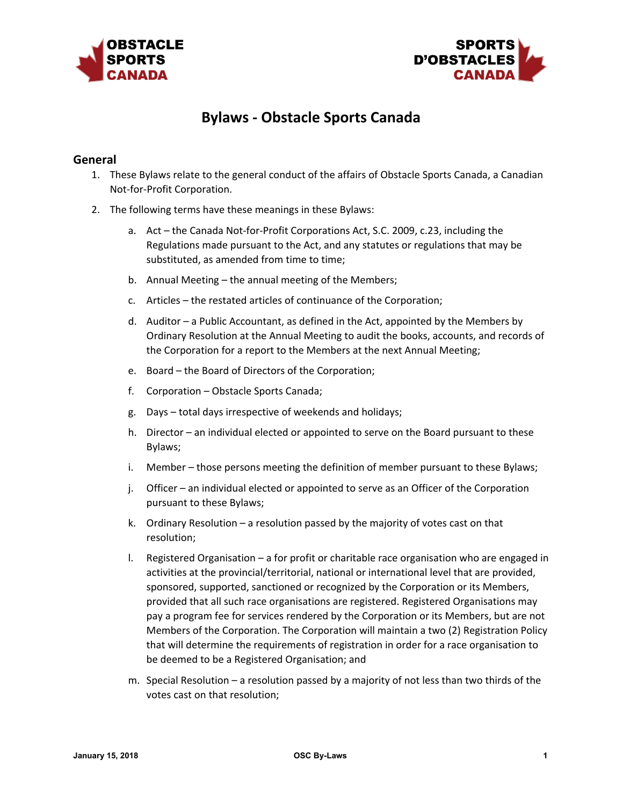



# **Bylaws - Obstacle Sports Canada**

## **General**

- 1. These Bylaws relate to the general conduct of the affairs of Obstacle Sports Canada, a Canadian Not-for-Profit Corporation.
- 2. The following terms have these meanings in these Bylaws:
	- a. Act the Canada Not-for-Profit Corporations Act, S.C. 2009, c.23, including the Regulations made pursuant to the Act, and any statutes or regulations that may be substituted, as amended from time to time;
	- b. Annual Meeting the annual meeting of the Members;
	- c. Articles the restated articles of continuance of the Corporation;
	- d. Auditor a Public Accountant, as defined in the Act, appointed by the Members by Ordinary Resolution at the Annual Meeting to audit the books, accounts, and records of the Corporation for a report to the Members at the next Annual Meeting;
	- e. Board the Board of Directors of the Corporation;
	- f. Corporation Obstacle Sports Canada;
	- g. Days total days irrespective of weekends and holidays;
	- h. Director an individual elected or appointed to serve on the Board pursuant to these Bylaws;
	- i. Member those persons meeting the definition of member pursuant to these Bylaws;
	- j. Officer an individual elected or appointed to serve as an Officer of the Corporation pursuant to these Bylaws;
	- k. Ordinary Resolution a resolution passed by the majority of votes cast on that resolution;
	- l. Registered Organisation a for profit or charitable race organisation who are engaged in activities at the provincial/territorial, national or international level that are provided, sponsored, supported, sanctioned or recognized by the Corporation or its Members, provided that all such race organisations are registered. Registered Organisations may pay a program fee for services rendered by the Corporation or its Members, but are not Members of the Corporation. The Corporation will maintain a two (2) Registration Policy that will determine the requirements of registration in order for a race organisation to be deemed to be a Registered Organisation; and
	- m. Special Resolution a resolution passed by a majority of not less than two thirds of the votes cast on that resolution;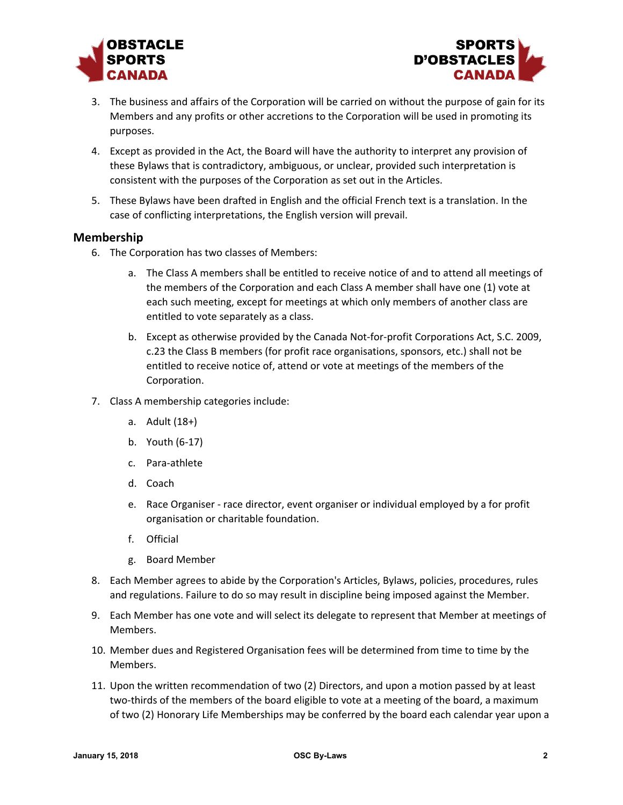



- 3. The business and affairs of the Corporation will be carried on without the purpose of gain for its Members and any profits or other accretions to the Corporation will be used in promoting its purposes.
- 4. Except as provided in the Act, the Board will have the authority to interpret any provision of these Bylaws that is contradictory, ambiguous, or unclear, provided such interpretation is consistent with the purposes of the Corporation as set out in the Articles.
- 5. These Bylaws have been drafted in English and the official French text is a translation. In the case of conflicting interpretations, the English version will prevail.

## **Membership**

- 6. The Corporation has two classes of Members:
	- a. The Class A members shall be entitled to receive notice of and to attend all meetings of the members of the Corporation and each Class A member shall have one (1) vote at each such meeting, except for meetings at which only members of another class are entitled to vote separately as a class.
	- b. Except as otherwise provided by the Canada Not-for-profit Corporations Act, S.C. 2009, c.23 the Class B members (for profit race organisations, sponsors, etc.) shall not be entitled to receive notice of, attend or vote at meetings of the members of the Corporation.
- 7. Class A membership categories include:
	- a. Adult (18+)
	- b. Youth (6-17)
	- c. Para-athlete
	- d. Coach
	- e. Race Organiser race director, event organiser or individual employed by a for profit organisation or charitable foundation.
	- f. Official
	- g. Board Member
- 8. Each Member agrees to abide by the Corporation's Articles, Bylaws, policies, procedures, rules and regulations. Failure to do so may result in discipline being imposed against the Member.
- 9. Each Member has one vote and will select its delegate to represent that Member at meetings of Members.
- 10. Member dues and Registered Organisation fees will be determined from time to time by the Members.
- 11. Upon the written recommendation of two (2) Directors, and upon a motion passed by at least two-thirds of the members of the board eligible to vote at a meeting of the board, a maximum of two (2) Honorary Life Memberships may be conferred by the board each calendar year upon a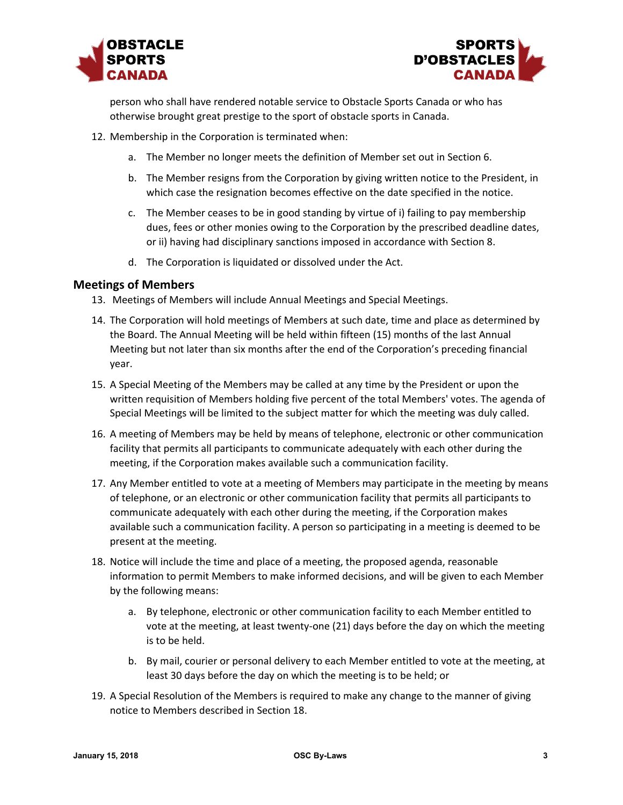



person who shall have rendered notable service to Obstacle Sports Canada or who has otherwise brought great prestige to the sport of obstacle sports in Canada.

- 12. Membership in the Corporation is terminated when:
	- a. The Member no longer meets the definition of Member set out in Section 6.
	- b. The Member resigns from the Corporation by giving written notice to the President, in which case the resignation becomes effective on the date specified in the notice.
	- c. The Member ceases to be in good standing by virtue of i) failing to pay membership dues, fees or other monies owing to the Corporation by the prescribed deadline dates, or ii) having had disciplinary sanctions imposed in accordance with Section 8.
	- d. The Corporation is liquidated or dissolved under the Act.

#### **Meetings of Members**

- 13. Meetings of Members will include Annual Meetings and Special Meetings.
- 14. The Corporation will hold meetings of Members at such date, time and place as determined by the Board. The Annual Meeting will be held within fifteen (15) months of the last Annual Meeting but not later than six months after the end of the Corporation's preceding financial year.
- 15. A Special Meeting of the Members may be called at any time by the President or upon the written requisition of Members holding five percent of the total Members' votes. The agenda of Special Meetings will be limited to the subject matter for which the meeting was duly called.
- 16. A meeting of Members may be held by means of telephone, electronic or other communication facility that permits all participants to communicate adequately with each other during the meeting, if the Corporation makes available such a communication facility.
- 17. Any Member entitled to vote at a meeting of Members may participate in the meeting by means of telephone, or an electronic or other communication facility that permits all participants to communicate adequately with each other during the meeting, if the Corporation makes available such a communication facility. A person so participating in a meeting is deemed to be present at the meeting.
- 18. Notice will include the time and place of a meeting, the proposed agenda, reasonable information to permit Members to make informed decisions, and will be given to each Member by the following means:
	- a. By telephone, electronic or other communication facility to each Member entitled to vote at the meeting, at least twenty-one (21) days before the day on which the meeting is to be held.
	- b. By mail, courier or personal delivery to each Member entitled to vote at the meeting, at least 30 days before the day on which the meeting is to be held; or
- 19. A Special Resolution of the Members is required to make any change to the manner of giving notice to Members described in Section 18.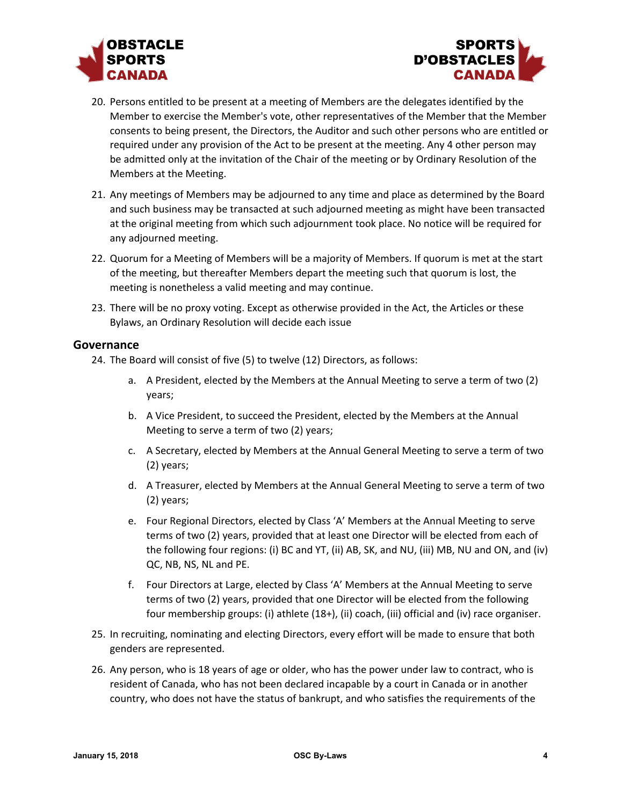



- 20. Persons entitled to be present at a meeting of Members are the delegates identified by the Member to exercise the Member's vote, other representatives of the Member that the Member consents to being present, the Directors, the Auditor and such other persons who are entitled or required under any provision of the Act to be present at the meeting. Any 4 other person may be admitted only at the invitation of the Chair of the meeting or by Ordinary Resolution of the Members at the Meeting.
- 21. Any meetings of Members may be adjourned to any time and place as determined by the Board and such business may be transacted at such adjourned meeting as might have been transacted at the original meeting from which such adjournment took place. No notice will be required for any adjourned meeting.
- 22. Quorum for a Meeting of Members will be a majority of Members. If quorum is met at the start of the meeting, but thereafter Members depart the meeting such that quorum is lost, the meeting is nonetheless a valid meeting and may continue.
- 23. There will be no proxy voting. Except as otherwise provided in the Act, the Articles or these Bylaws, an Ordinary Resolution will decide each issue

#### **Governance**

24. The Board will consist of five (5) to twelve (12) Directors, as follows:

- a. A President, elected by the Members at the Annual Meeting to serve a term of two (2) years;
- b. A Vice President, to succeed the President, elected by the Members at the Annual Meeting to serve a term of two (2) years;
- c. A Secretary, elected by Members at the Annual General Meeting to serve a term of two (2) years;
- d. A Treasurer, elected by Members at the Annual General Meeting to serve a term of two (2) years;
- e. Four Regional Directors, elected by Class 'A' Members at the Annual Meeting to serve terms of two (2) years, provided that at least one Director will be elected from each of the following four regions: (i) BC and YT, (ii) AB, SK, and NU, (iii) MB, NU and ON, and (iv) QC, NB, NS, NL and PE.
- f. Four Directors at Large, elected by Class 'A' Members at the Annual Meeting to serve terms of two (2) years, provided that one Director will be elected from the following four membership groups: (i) athlete (18+), (ii) coach, (iii) official and (iv) race organiser.
- 25. In recruiting, nominating and electing Directors, every effort will be made to ensure that both genders are represented.
- 26. Any person, who is 18 years of age or older, who has the power under law to contract, who is resident of Canada, who has not been declared incapable by a court in Canada or in another country, who does not have the status of bankrupt, and who satisfies the requirements of the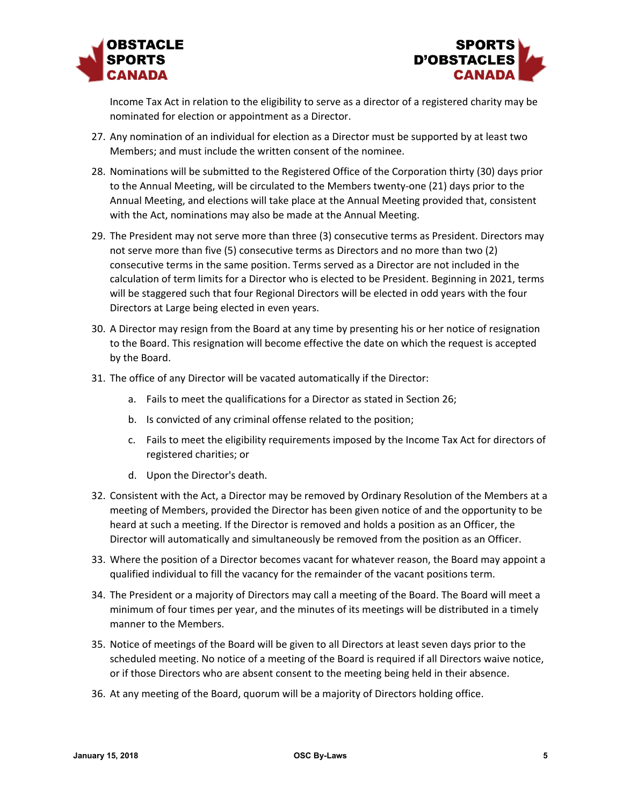



Income Tax Act in relation to the eligibility to serve as a director of a registered charity may be nominated for election or appointment as a Director.

- 27. Any nomination of an individual for election as a Director must be supported by at least two Members; and must include the written consent of the nominee.
- 28. Nominations will be submitted to the Registered Office of the Corporation thirty (30) days prior to the Annual Meeting, will be circulated to the Members twenty-one (21) days prior to the Annual Meeting, and elections will take place at the Annual Meeting provided that, consistent with the Act, nominations may also be made at the Annual Meeting.
- 29. The President may not serve more than three (3) consecutive terms as President. Directors may not serve more than five (5) consecutive terms as Directors and no more than two (2) consecutive terms in the same position. Terms served as a Director are not included in the calculation of term limits for a Director who is elected to be President. Beginning in 2021, terms will be staggered such that four Regional Directors will be elected in odd years with the four Directors at Large being elected in even years.
- 30. A Director may resign from the Board at any time by presenting his or her notice of resignation to the Board. This resignation will become effective the date on which the request is accepted by the Board.
- 31. The office of any Director will be vacated automatically if the Director:
	- a. Fails to meet the qualifications for a Director as stated in Section 26;
	- b. Is convicted of any criminal offense related to the position;
	- c. Fails to meet the eligibility requirements imposed by the Income Tax Act for directors of registered charities; or
	- d. Upon the Director's death.
- 32. Consistent with the Act, a Director may be removed by Ordinary Resolution of the Members at a meeting of Members, provided the Director has been given notice of and the opportunity to be heard at such a meeting. If the Director is removed and holds a position as an Officer, the Director will automatically and simultaneously be removed from the position as an Officer.
- 33. Where the position of a Director becomes vacant for whatever reason, the Board may appoint a qualified individual to fill the vacancy for the remainder of the vacant positions term.
- 34. The President or a majority of Directors may call a meeting of the Board. The Board will meet a minimum of four times per year, and the minutes of its meetings will be distributed in a timely manner to the Members.
- 35. Notice of meetings of the Board will be given to all Directors at least seven days prior to the scheduled meeting. No notice of a meeting of the Board is required if all Directors waive notice, or if those Directors who are absent consent to the meeting being held in their absence.
- 36. At any meeting of the Board, quorum will be a majority of Directors holding office.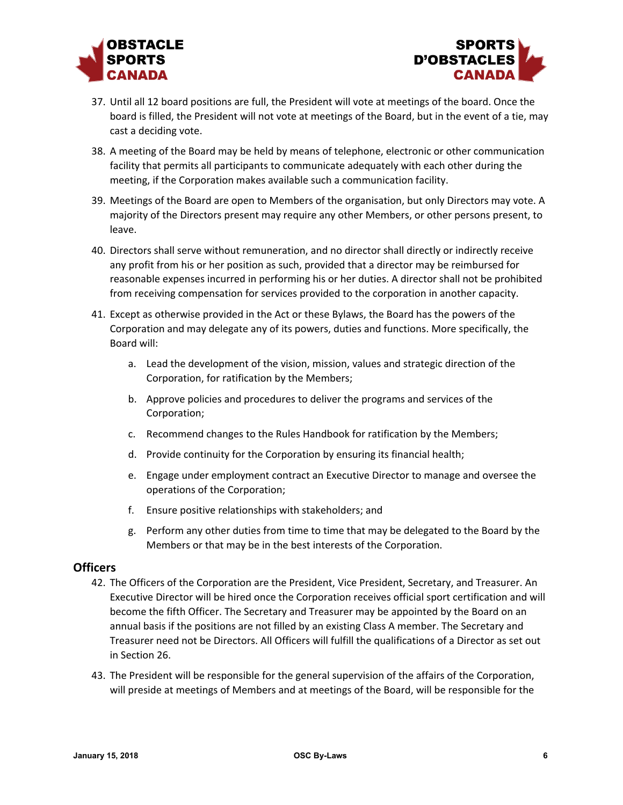



- 37. Until all 12 board positions are full, the President will vote at meetings of the board. Once the board is filled, the President will not vote at meetings of the Board, but in the event of a tie, may cast a deciding vote.
- 38. A meeting of the Board may be held by means of telephone, electronic or other communication facility that permits all participants to communicate adequately with each other during the meeting, if the Corporation makes available such a communication facility.
- 39. Meetings of the Board are open to Members of the organisation, but only Directors may vote. A majority of the Directors present may require any other Members, or other persons present, to leave.
- 40. Directors shall serve without remuneration, and no director shall directly or indirectly receive any profit from his or her position as such, provided that a director may be reimbursed for reasonable expenses incurred in performing his or her duties. A director shall not be prohibited from receiving compensation for services provided to the corporation in another capacity.
- 41. Except as otherwise provided in the Act or these Bylaws, the Board has the powers of the Corporation and may delegate any of its powers, duties and functions. More specifically, the Board will:
	- a. Lead the development of the vision, mission, values and strategic direction of the Corporation, for ratification by the Members;
	- b. Approve policies and procedures to deliver the programs and services of the Corporation;
	- c. Recommend changes to the Rules Handbook for ratification by the Members;
	- d. Provide continuity for the Corporation by ensuring its financial health;
	- e. Engage under employment contract an Executive Director to manage and oversee the operations of the Corporation;
	- f. Ensure positive relationships with stakeholders; and
	- g. Perform any other duties from time to time that may be delegated to the Board by the Members or that may be in the best interests of the Corporation.

#### **Officers**

- 42. The Officers of the Corporation are the President, Vice President, Secretary, and Treasurer. An Executive Director will be hired once the Corporation receives official sport certification and will become the fifth Officer. The Secretary and Treasurer may be appointed by the Board on an annual basis if the positions are not filled by an existing Class A member. The Secretary and Treasurer need not be Directors. All Officers will fulfill the qualifications of a Director as set out in Section 26.
- 43. The President will be responsible for the general supervision of the affairs of the Corporation, will preside at meetings of Members and at meetings of the Board, will be responsible for the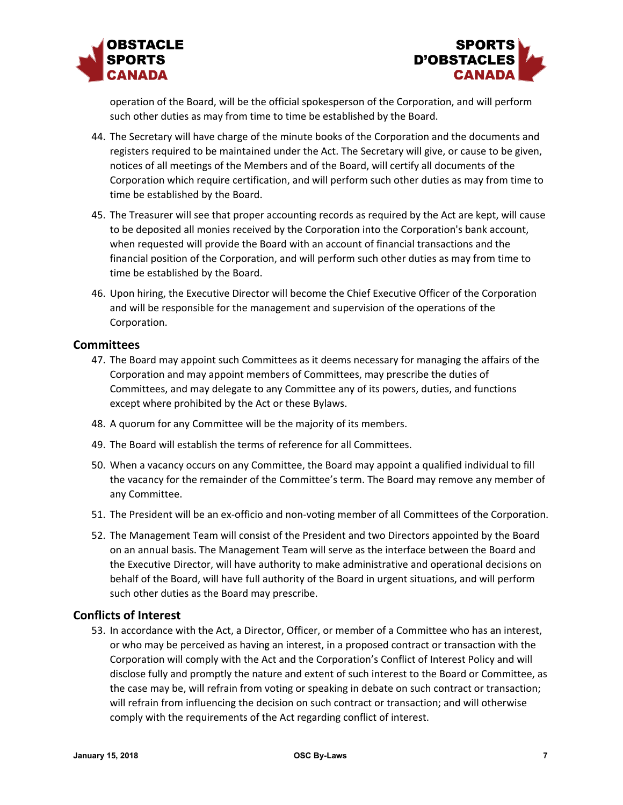



operation of the Board, will be the official spokesperson of the Corporation, and will perform such other duties as may from time to time be established by the Board.

- 44. The Secretary will have charge of the minute books of the Corporation and the documents and registers required to be maintained under the Act. The Secretary will give, or cause to be given, notices of all meetings of the Members and of the Board, will certify all documents of the Corporation which require certification, and will perform such other duties as may from time to time be established by the Board.
- 45. The Treasurer will see that proper accounting records as required by the Act are kept, will cause to be deposited all monies received by the Corporation into the Corporation's bank account, when requested will provide the Board with an account of financial transactions and the financial position of the Corporation, and will perform such other duties as may from time to time be established by the Board.
- 46. Upon hiring, the Executive Director will become the Chief Executive Officer of the Corporation and will be responsible for the management and supervision of the operations of the Corporation.

#### **Committees**

- 47. The Board may appoint such Committees as it deems necessary for managing the affairs of the Corporation and may appoint members of Committees, may prescribe the duties of Committees, and may delegate to any Committee any of its powers, duties, and functions except where prohibited by the Act or these Bylaws.
- 48. A quorum for any Committee will be the majority of its members.
- 49. The Board will establish the terms of reference for all Committees.
- 50. When a vacancy occurs on any Committee, the Board may appoint a qualified individual to fill the vacancy for the remainder of the Committee's term. The Board may remove any member of any Committee.
- 51. The President will be an ex-officio and non-voting member of all Committees of the Corporation.
- 52. The Management Team will consist of the President and two Directors appointed by the Board on an annual basis. The Management Team will serve as the interface between the Board and the Executive Director, will have authority to make administrative and operational decisions on behalf of the Board, will have full authority of the Board in urgent situations, and will perform such other duties as the Board may prescribe.

#### **Conflicts of Interest**

53. In accordance with the Act, a Director, Officer, or member of a Committee who has an interest, or who may be perceived as having an interest, in a proposed contract or transaction with the Corporation will comply with the Act and the Corporation's Conflict of Interest Policy and will disclose fully and promptly the nature and extent of such interest to the Board or Committee, as the case may be, will refrain from voting or speaking in debate on such contract or transaction; will refrain from influencing the decision on such contract or transaction; and will otherwise comply with the requirements of the Act regarding conflict of interest.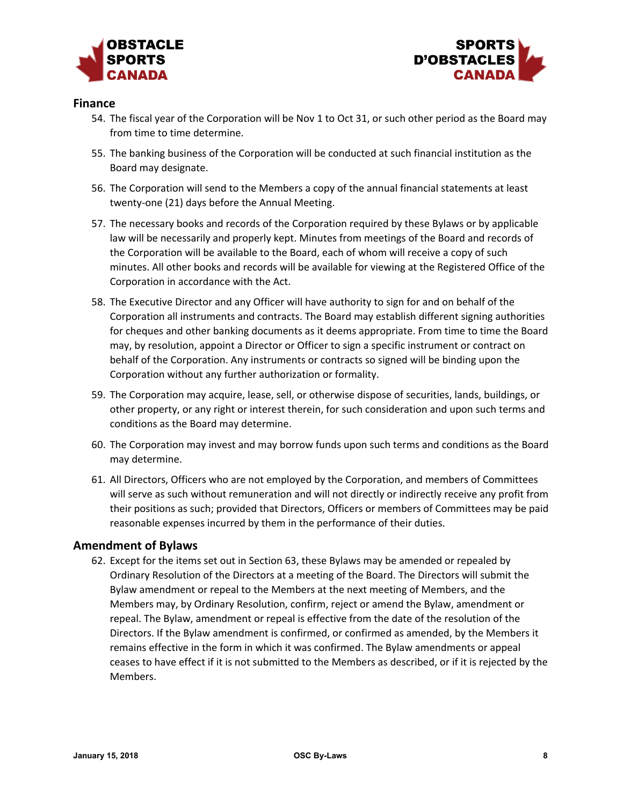



## **Finance**

- 54. The fiscal year of the Corporation will be Nov 1 to Oct 31, or such other period as the Board may from time to time determine.
- 55. The banking business of the Corporation will be conducted at such financial institution as the Board may designate.
- 56. The Corporation will send to the Members a copy of the annual financial statements at least twenty-one (21) days before the Annual Meeting.
- 57. The necessary books and records of the Corporation required by these Bylaws or by applicable law will be necessarily and properly kept. Minutes from meetings of the Board and records of the Corporation will be available to the Board, each of whom will receive a copy of such minutes. All other books and records will be available for viewing at the Registered Office of the Corporation in accordance with the Act.
- 58. The Executive Director and any Officer will have authority to sign for and on behalf of the Corporation all instruments and contracts. The Board may establish different signing authorities for cheques and other banking documents as it deems appropriate. From time to time the Board may, by resolution, appoint a Director or Officer to sign a specific instrument or contract on behalf of the Corporation. Any instruments or contracts so signed will be binding upon the Corporation without any further authorization or formality.
- 59. The Corporation may acquire, lease, sell, or otherwise dispose of securities, lands, buildings, or other property, or any right or interest therein, for such consideration and upon such terms and conditions as the Board may determine.
- 60. The Corporation may invest and may borrow funds upon such terms and conditions as the Board may determine.
- 61. All Directors, Officers who are not employed by the Corporation, and members of Committees will serve as such without remuneration and will not directly or indirectly receive any profit from their positions as such; provided that Directors, Officers or members of Committees may be paid reasonable expenses incurred by them in the performance of their duties.

#### **Amendment of Bylaws**

62. Except for the items set out in Section 63, these Bylaws may be amended or repealed by Ordinary Resolution of the Directors at a meeting of the Board. The Directors will submit the Bylaw amendment or repeal to the Members at the next meeting of Members, and the Members may, by Ordinary Resolution, confirm, reject or amend the Bylaw, amendment or repeal. The Bylaw, amendment or repeal is effective from the date of the resolution of the Directors. If the Bylaw amendment is confirmed, or confirmed as amended, by the Members it remains effective in the form in which it was confirmed. The Bylaw amendments or appeal ceases to have effect if it is not submitted to the Members as described, or if it is rejected by the Members.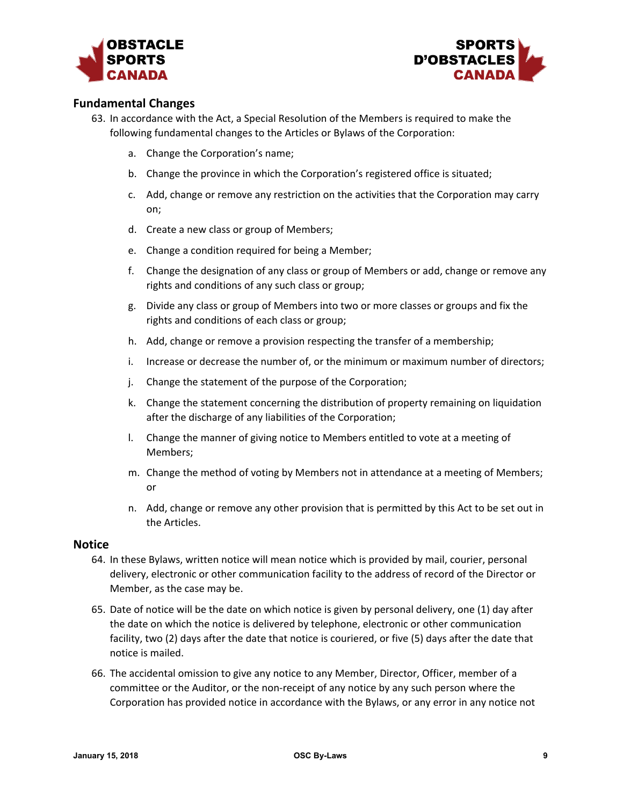



### **Fundamental Changes**

- 63. In accordance with the Act, a Special Resolution of the Members is required to make the following fundamental changes to the Articles or Bylaws of the Corporation:
	- a. Change the Corporation's name;
	- b. Change the province in which the Corporation's registered office is situated;
	- c. Add, change or remove any restriction on the activities that the Corporation may carry on;
	- d. Create a new class or group of Members;
	- e. Change a condition required for being a Member;
	- f. Change the designation of any class or group of Members or add, change or remove any rights and conditions of any such class or group;
	- g. Divide any class or group of Members into two or more classes or groups and fix the rights and conditions of each class or group;
	- h. Add, change or remove a provision respecting the transfer of a membership;
	- i. Increase or decrease the number of, or the minimum or maximum number of directors;
	- j. Change the statement of the purpose of the Corporation;
	- k. Change the statement concerning the distribution of property remaining on liquidation after the discharge of any liabilities of the Corporation;
	- l. Change the manner of giving notice to Members entitled to vote at a meeting of Members;
	- m. Change the method of voting by Members not in attendance at a meeting of Members; or
	- n. Add, change or remove any other provision that is permitted by this Act to be set out in the Articles.

#### **Notice**

- 64. In these Bylaws, written notice will mean notice which is provided by mail, courier, personal delivery, electronic or other communication facility to the address of record of the Director or Member, as the case may be.
- 65. Date of notice will be the date on which notice is given by personal delivery, one (1) day after the date on which the notice is delivered by telephone, electronic or other communication facility, two (2) days after the date that notice is couriered, or five (5) days after the date that notice is mailed.
- 66. The accidental omission to give any notice to any Member, Director, Officer, member of a committee or the Auditor, or the non-receipt of any notice by any such person where the Corporation has provided notice in accordance with the Bylaws, or any error in any notice not